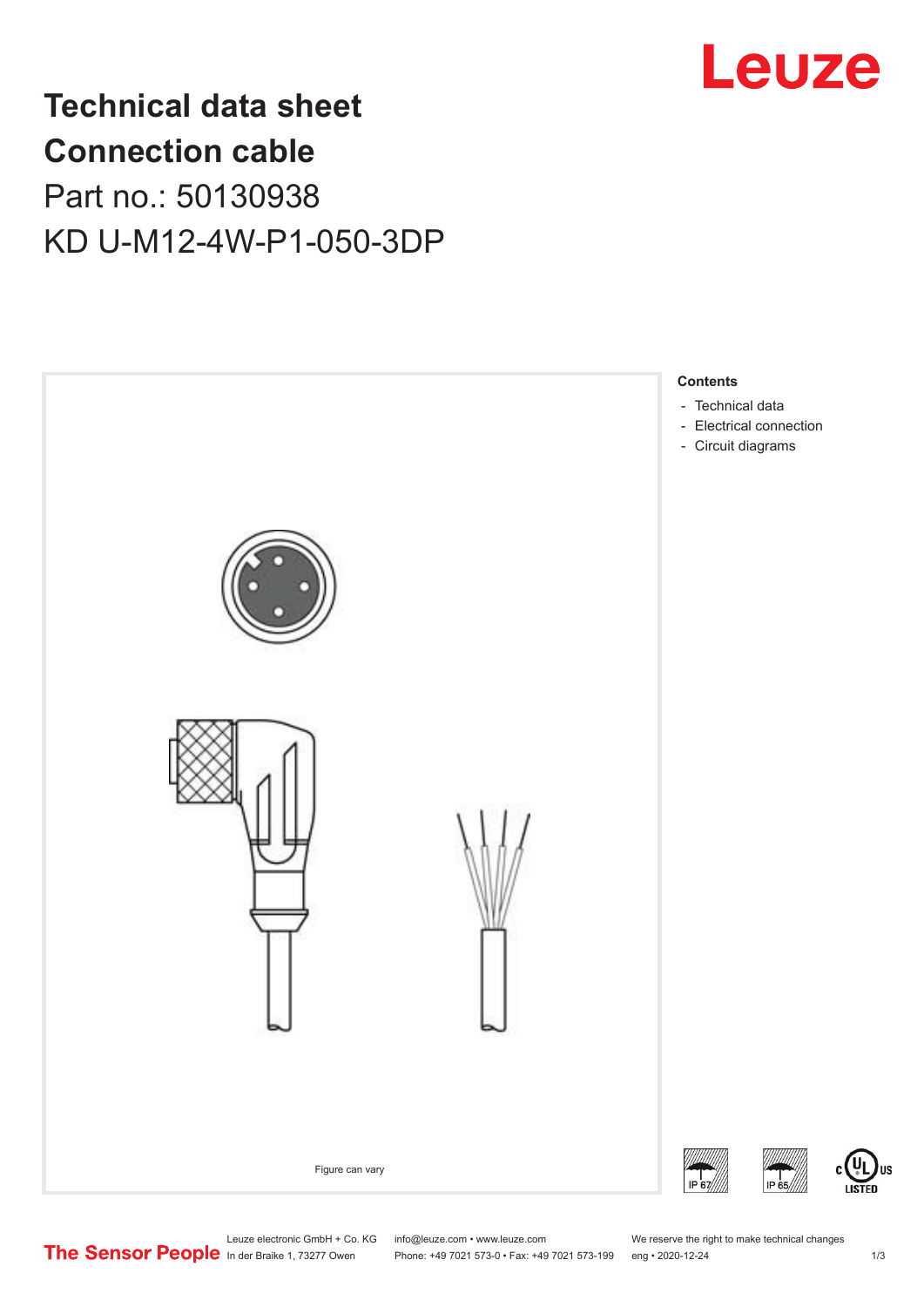

## **Technical data sheet Connection cable** Part no.: 50130938 KD U-M12-4W-P1-050-3DP



Phone: +49 7021 573-0 • Fax: +49 7021 573-199 eng • 2020-12-24 1 2020-12-24

US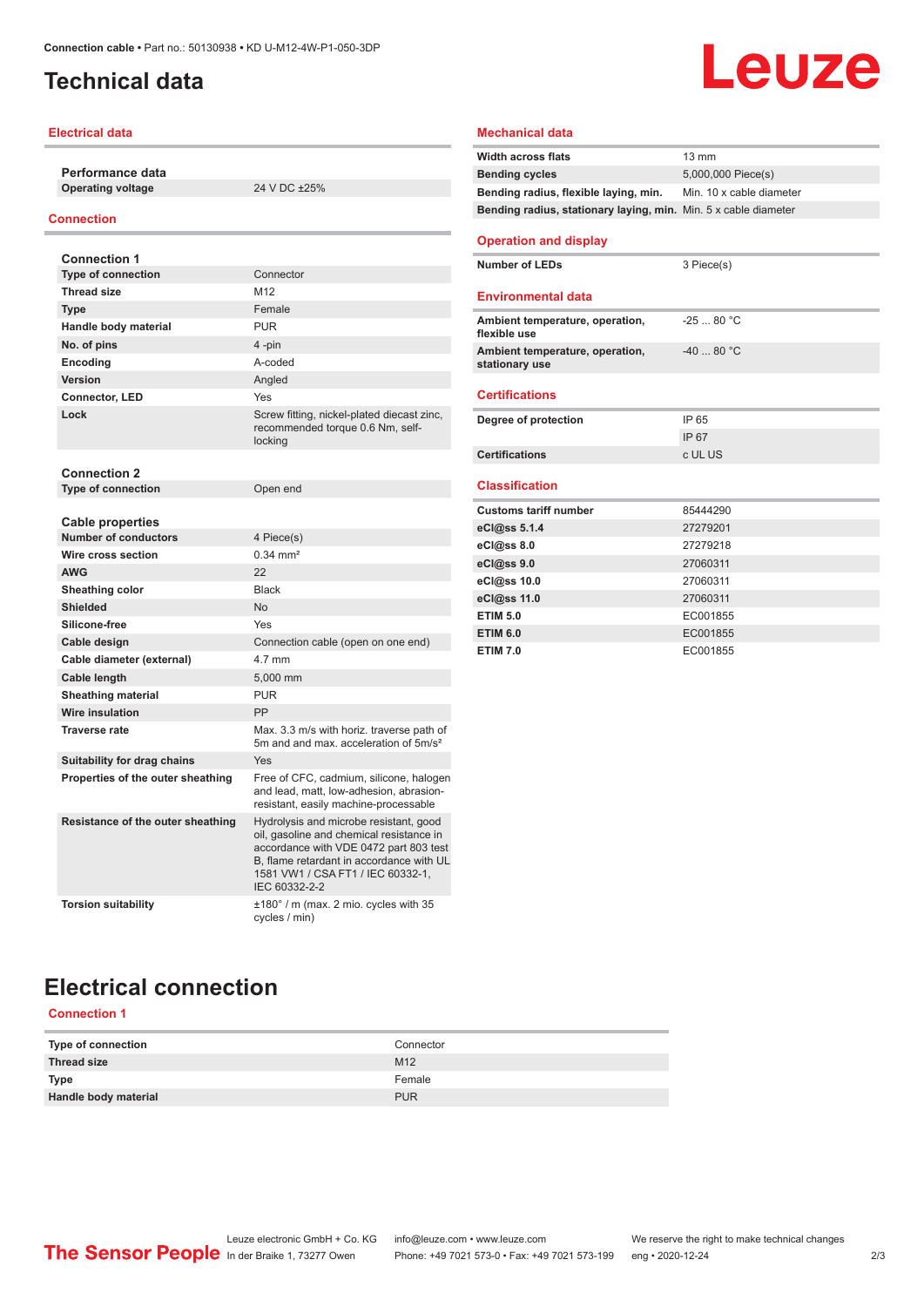## <span id="page-1-0"></span>**Technical data**

#### **Electrical data**

**Performance data Operating voltage** 24 V DC ±25%

#### **Connection**

| <b>Connection 1</b>               |                                                                                                                                                                                                                                |
|-----------------------------------|--------------------------------------------------------------------------------------------------------------------------------------------------------------------------------------------------------------------------------|
| <b>Type of connection</b>         | Connector                                                                                                                                                                                                                      |
| <b>Thread size</b>                | M12                                                                                                                                                                                                                            |
| <b>Type</b>                       | Female                                                                                                                                                                                                                         |
| Handle body material              | <b>PUR</b>                                                                                                                                                                                                                     |
| No. of pins                       | 4-pin                                                                                                                                                                                                                          |
| Encoding                          | A-coded                                                                                                                                                                                                                        |
| Version                           | Angled                                                                                                                                                                                                                         |
| <b>Connector, LED</b>             | Yes                                                                                                                                                                                                                            |
| Lock                              | Screw fitting, nickel-plated diecast zinc,<br>recommended torque 0.6 Nm, self-<br>locking                                                                                                                                      |
| <b>Connection 2</b>               |                                                                                                                                                                                                                                |
| <b>Type of connection</b>         | Open end                                                                                                                                                                                                                       |
| <b>Cable properties</b>           |                                                                                                                                                                                                                                |
| <b>Number of conductors</b>       | 4 Piece(s)                                                                                                                                                                                                                     |
| Wire cross section                | $0.34 \, \text{mm}^2$                                                                                                                                                                                                          |
| <b>AWG</b>                        | 22                                                                                                                                                                                                                             |
| Sheathing color                   | <b>Black</b>                                                                                                                                                                                                                   |
| <b>Shielded</b>                   | N <sub>o</sub>                                                                                                                                                                                                                 |
| Silicone-free                     | Yes                                                                                                                                                                                                                            |
| Cable design                      | Connection cable (open on one end)                                                                                                                                                                                             |
| Cable diameter (external)         | 4 7 mm                                                                                                                                                                                                                         |
| Cable length                      | 5.000 mm                                                                                                                                                                                                                       |
| <b>Sheathing material</b>         | <b>PUR</b>                                                                                                                                                                                                                     |
| Wire insulation                   | PP                                                                                                                                                                                                                             |
| <b>Traverse rate</b>              | Max. 3.3 m/s with horiz. traverse path of<br>5m and and max, acceleration of 5m/s <sup>2</sup>                                                                                                                                 |
| Suitability for drag chains       | Yes                                                                                                                                                                                                                            |
| Properties of the outer sheathing | Free of CFC, cadmium, silicone, halogen<br>and lead, matt, low-adhesion, abrasion-<br>resistant, easily machine-processable                                                                                                    |
| Resistance of the outer sheathing | Hydrolysis and microbe resistant, good<br>oil, gasoline and chemical resistance in<br>accordance with VDE 0472 part 803 test<br>B, flame retardant in accordance with UL<br>1581 VW1 / CSA FT1 / IEC 60332-1,<br>IEC 60332-2-2 |
| <b>Torsion suitability</b>        | $\pm 180^\circ$ / m (max. 2 mio. cycles with 35<br>cycles / min)                                                                                                                                                               |

## **Leuze**

#### **Mechanical data**

| <b>Width across flats</b>                                       | $13 \text{ mm}$          |
|-----------------------------------------------------------------|--------------------------|
| <b>Bending cycles</b>                                           | 5,000,000 Piece(s)       |
| Bending radius, flexible laying, min.                           | Min. 10 x cable diameter |
| Bending radius, stationary laying, min. Min. 5 x cable diameter |                          |
|                                                                 |                          |
| <b>Operation and display</b>                                    |                          |
| <b>Number of LEDs</b>                                           | 3 Piece(s)               |
|                                                                 |                          |
| <b>Environmental data</b>                                       |                          |
| Ambient temperature, operation,                                 | $-2580 °C$               |
| flexible use                                                    |                          |
| Ambient temperature, operation,                                 | $-4080 °C$               |
| stationary use                                                  |                          |
| <b>Certifications</b>                                           |                          |
|                                                                 |                          |
| Degree of protection                                            | IP 65                    |
|                                                                 | IP 67                    |
| <b>Certifications</b>                                           | c UL US                  |
| <b>Classification</b>                                           |                          |
|                                                                 |                          |
| <b>Customs tariff number</b>                                    | 85444290                 |
| eCl@ss 5.1.4                                                    | 27279201                 |
| $eC/\omega$ ss 8.0                                              | 27279218                 |
| eCl@ss 9.0                                                      | 27060311                 |
| eCl@ss 10.0                                                     | 27060311                 |
| eCl@ss 11.0                                                     | 27060311                 |
| <b>ETIM 5.0</b>                                                 | EC001855                 |
| <b>ETIM 6.0</b>                                                 | EC001855                 |
| <b>ETIM 7.0</b>                                                 | EC001855                 |

## **Electrical connection**

### **Connection 1**

| Type of connection   | Connector       |
|----------------------|-----------------|
| Thread size          | M <sub>12</sub> |
| <b>Type</b>          | Female          |
| Handle body material | <b>PUR</b>      |